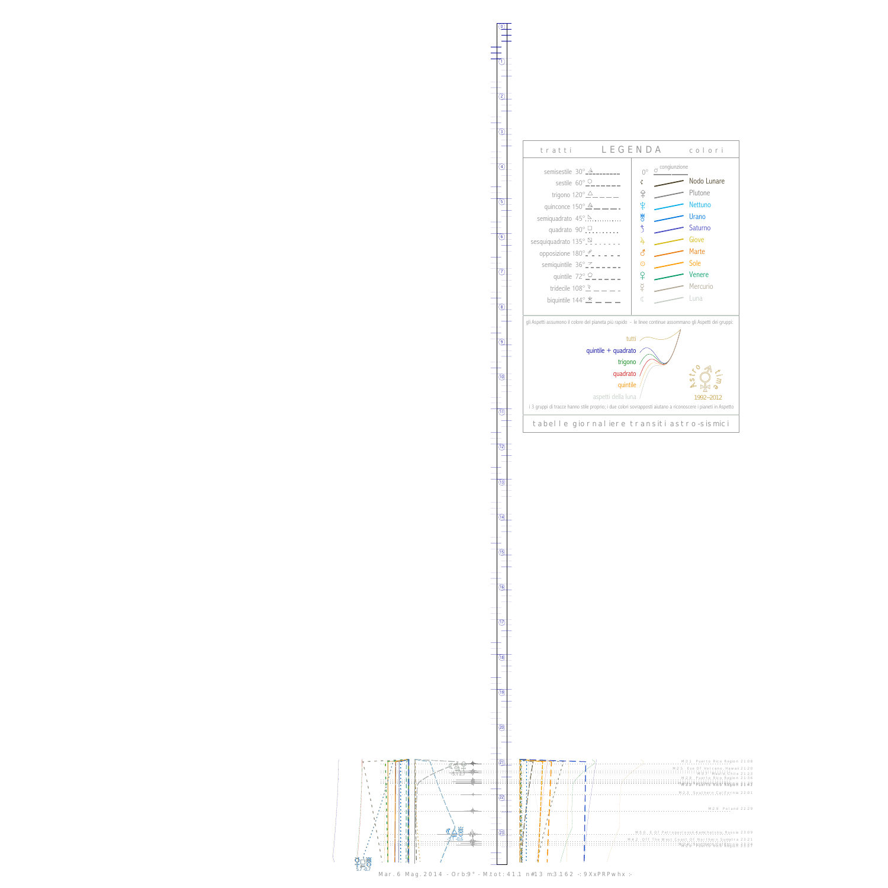